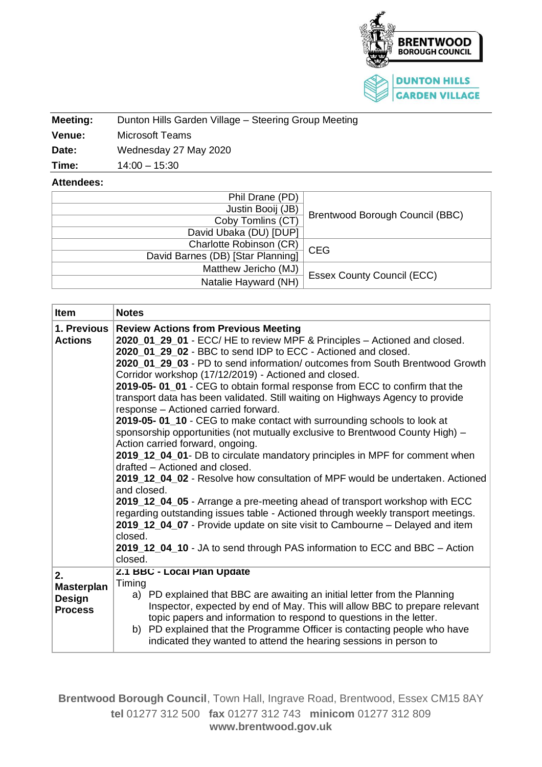

| Meeting:      | Dunton Hills Garden Village - Steering Group Meeting |
|---------------|------------------------------------------------------|
| <b>Venue:</b> | Microsoft Teams                                      |
| Date:         | Wednesday 27 May 2020                                |
| Time:         | $14:00 - 15:30$                                      |

## **Attendees:**

| Phil Drane (PD)                   |                                   |
|-----------------------------------|-----------------------------------|
| Justin Booij (JB)                 |                                   |
| Coby Tomlins (CT)                 | Brentwood Borough Council (BBC)   |
| David Ubaka (DU) [DUP]            |                                   |
| Charlotte Robinson (CR)           | <b>CEG</b>                        |
| David Barnes (DB) [Star Planning] |                                   |
| Matthew Jericho (MJ)              | <b>Essex County Council (ECC)</b> |
| Natalie Hayward (NH)              |                                   |

| <b>Item</b>                                                | <b>Notes</b>                                                                                                                                                                                                                                                                                                                                                                                                                                                                                                                                                                                                                                                                                                                                                                                                                                                                                                                                                                                                                                                                                                                                                                                                                                                                                                      |  |  |  |  |
|------------------------------------------------------------|-------------------------------------------------------------------------------------------------------------------------------------------------------------------------------------------------------------------------------------------------------------------------------------------------------------------------------------------------------------------------------------------------------------------------------------------------------------------------------------------------------------------------------------------------------------------------------------------------------------------------------------------------------------------------------------------------------------------------------------------------------------------------------------------------------------------------------------------------------------------------------------------------------------------------------------------------------------------------------------------------------------------------------------------------------------------------------------------------------------------------------------------------------------------------------------------------------------------------------------------------------------------------------------------------------------------|--|--|--|--|
| 1. Previous<br><b>Actions</b>                              | <b>Review Actions from Previous Meeting</b><br>2020_01_29_01 - ECC/ HE to review MPF & Principles - Actioned and closed.<br>2020_01_29_02 - BBC to send IDP to ECC - Actioned and closed.<br>2020_01_29_03 - PD to send information/ outcomes from South Brentwood Growth<br>Corridor workshop (17/12/2019) - Actioned and closed.<br>2019-05-01_01 - CEG to obtain formal response from ECC to confirm that the<br>transport data has been validated. Still waiting on Highways Agency to provide<br>response - Actioned carried forward.<br>2019-05-01_10 - CEG to make contact with surrounding schools to look at<br>sponsorship opportunities (not mutually exclusive to Brentwood County High) -<br>Action carried forward, ongoing.<br>2019_12_04_01- DB to circulate mandatory principles in MPF for comment when<br>drafted – Actioned and closed.<br>2019_12_04_02 - Resolve how consultation of MPF would be undertaken. Actioned<br>and closed.<br>2019_12_04_05 - Arrange a pre-meeting ahead of transport workshop with ECC<br>regarding outstanding issues table - Actioned through weekly transport meetings.<br>2019_12_04_07 - Provide update on site visit to Cambourne - Delayed and item<br>closed.<br>2019_12_04_10 - JA to send through PAS information to ECC and BBC - Action<br>closed. |  |  |  |  |
| 2.<br><b>Masterplan</b><br><b>Design</b><br><b>Process</b> | 2.1 BBC - Local Plan Update<br>Timing<br>a) PD explained that BBC are awaiting an initial letter from the Planning<br>Inspector, expected by end of May. This will allow BBC to prepare relevant<br>topic papers and information to respond to questions in the letter.<br>b) PD explained that the Programme Officer is contacting people who have<br>indicated they wanted to attend the hearing sessions in person to                                                                                                                                                                                                                                                                                                                                                                                                                                                                                                                                                                                                                                                                                                                                                                                                                                                                                          |  |  |  |  |

**Brentwood Borough Council**, Town Hall, Ingrave Road, Brentwood, Essex CM15 8AY **tel** 01277 312 500 **fax** 01277 312 743 **minicom** 01277 312 809 **www.brentwood.gov.uk**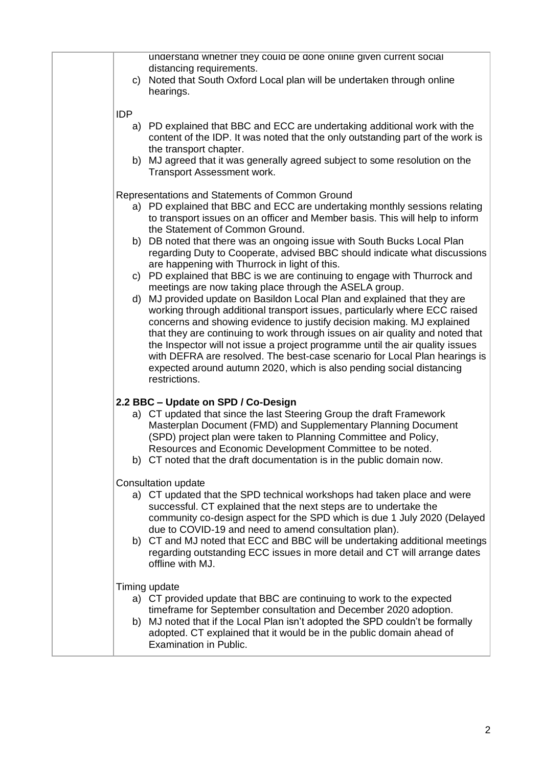|            | understand whether they could be done online given current social<br>distancing requirements.<br>c) Noted that South Oxford Local plan will be undertaken through online<br>hearings.                                                                                                                                                                                                                                                                                                                                                                                                                                                                                                                                                                                                                                                                                                                                                                                                                                                                                                                                                                                         |
|------------|-------------------------------------------------------------------------------------------------------------------------------------------------------------------------------------------------------------------------------------------------------------------------------------------------------------------------------------------------------------------------------------------------------------------------------------------------------------------------------------------------------------------------------------------------------------------------------------------------------------------------------------------------------------------------------------------------------------------------------------------------------------------------------------------------------------------------------------------------------------------------------------------------------------------------------------------------------------------------------------------------------------------------------------------------------------------------------------------------------------------------------------------------------------------------------|
| <b>IDP</b> | a) PD explained that BBC and ECC are undertaking additional work with the<br>content of the IDP. It was noted that the only outstanding part of the work is<br>the transport chapter.<br>b) MJ agreed that it was generally agreed subject to some resolution on the<br>Transport Assessment work.                                                                                                                                                                                                                                                                                                                                                                                                                                                                                                                                                                                                                                                                                                                                                                                                                                                                            |
|            | Representations and Statements of Common Ground<br>a) PD explained that BBC and ECC are undertaking monthly sessions relating<br>to transport issues on an officer and Member basis. This will help to inform<br>the Statement of Common Ground.<br>b) DB noted that there was an ongoing issue with South Bucks Local Plan<br>regarding Duty to Cooperate, advised BBC should indicate what discussions<br>are happening with Thurrock in light of this.<br>c) PD explained that BBC is we are continuing to engage with Thurrock and<br>meetings are now taking place through the ASELA group.<br>d) MJ provided update on Basildon Local Plan and explained that they are<br>working through additional transport issues, particularly where ECC raised<br>concerns and showing evidence to justify decision making. MJ explained<br>that they are continuing to work through issues on air quality and noted that<br>the Inspector will not issue a project programme until the air quality issues<br>with DEFRA are resolved. The best-case scenario for Local Plan hearings is<br>expected around autumn 2020, which is also pending social distancing<br>restrictions. |
|            | 2.2 BBC – Update on SPD / Co-Design<br>a) CT updated that since the last Steering Group the draft Framework<br>Masterplan Document (FMD) and Supplementary Planning Document<br>(SPD) project plan were taken to Planning Committee and Policy,<br>Resources and Economic Development Committee to be noted.<br>b) CT noted that the draft documentation is in the public domain now.                                                                                                                                                                                                                                                                                                                                                                                                                                                                                                                                                                                                                                                                                                                                                                                         |
|            | Consultation update<br>a) CT updated that the SPD technical workshops had taken place and were<br>successful. CT explained that the next steps are to undertake the<br>community co-design aspect for the SPD which is due 1 July 2020 (Delayed<br>due to COVID-19 and need to amend consultation plan).<br>b) CT and MJ noted that ECC and BBC will be undertaking additional meetings<br>regarding outstanding ECC issues in more detail and CT will arrange dates<br>offline with MJ.                                                                                                                                                                                                                                                                                                                                                                                                                                                                                                                                                                                                                                                                                      |
|            | Timing update<br>a) CT provided update that BBC are continuing to work to the expected<br>timeframe for September consultation and December 2020 adoption.<br>b) MJ noted that if the Local Plan isn't adopted the SPD couldn't be formally<br>adopted. CT explained that it would be in the public domain ahead of<br>Examination in Public.                                                                                                                                                                                                                                                                                                                                                                                                                                                                                                                                                                                                                                                                                                                                                                                                                                 |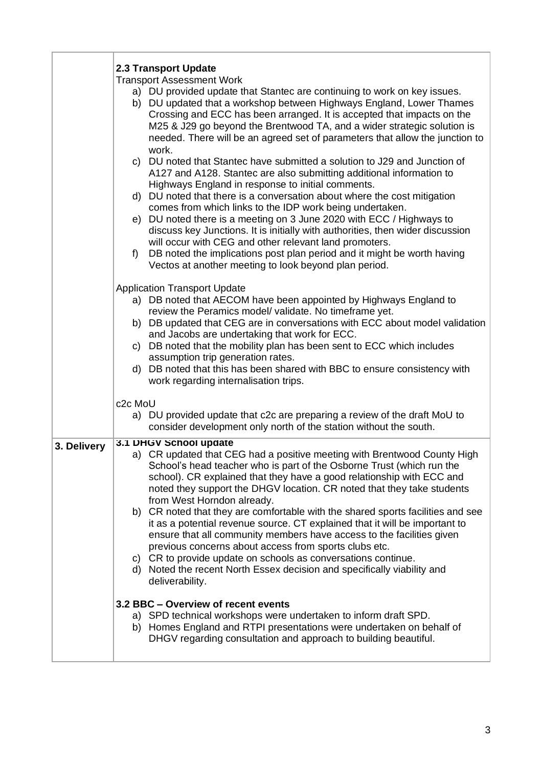|             | 2.3 Transport Update<br><b>Transport Assessment Work</b><br>a) DU provided update that Stantec are continuing to work on key issues.<br>b) DU updated that a workshop between Highways England, Lower Thames<br>Crossing and ECC has been arranged. It is accepted that impacts on the<br>M25 & J29 go beyond the Brentwood TA, and a wider strategic solution is<br>needed. There will be an agreed set of parameters that allow the junction to<br>work.<br>c) DU noted that Stantec have submitted a solution to J29 and Junction of<br>A127 and A128. Stantec are also submitting additional information to<br>Highways England in response to initial comments.<br>d) DU noted that there is a conversation about where the cost mitigation<br>comes from which links to the IDP work being undertaken.<br>e) DU noted there is a meeting on 3 June 2020 with ECC / Highways to<br>discuss key Junctions. It is initially with authorities, then wider discussion<br>will occur with CEG and other relevant land promoters.<br>DB noted the implications post plan period and it might be worth having<br>f)<br>Vectos at another meeting to look beyond plan period. |
|-------------|----------------------------------------------------------------------------------------------------------------------------------------------------------------------------------------------------------------------------------------------------------------------------------------------------------------------------------------------------------------------------------------------------------------------------------------------------------------------------------------------------------------------------------------------------------------------------------------------------------------------------------------------------------------------------------------------------------------------------------------------------------------------------------------------------------------------------------------------------------------------------------------------------------------------------------------------------------------------------------------------------------------------------------------------------------------------------------------------------------------------------------------------------------------------------|
|             | <b>Application Transport Update</b><br>a) DB noted that AECOM have been appointed by Highways England to<br>review the Peramics model/ validate. No timeframe yet.<br>b) DB updated that CEG are in conversations with ECC about model validation<br>and Jacobs are undertaking that work for ECC.<br>c) DB noted that the mobility plan has been sent to ECC which includes<br>assumption trip generation rates.<br>d) DB noted that this has been shared with BBC to ensure consistency with<br>work regarding internalisation trips.                                                                                                                                                                                                                                                                                                                                                                                                                                                                                                                                                                                                                                    |
|             | c <sub>2</sub> c MoU<br>a) DU provided update that c2c are preparing a review of the draft MoU to<br>consider development only north of the station without the south.                                                                                                                                                                                                                                                                                                                                                                                                                                                                                                                                                                                                                                                                                                                                                                                                                                                                                                                                                                                                     |
| 3. Delivery | 3.1 DHGV School update<br>a) CR updated that CEG had a positive meeting with Brentwood County High<br>School's head teacher who is part of the Osborne Trust (which run the<br>school). CR explained that they have a good relationship with ECC and<br>noted they support the DHGV location. CR noted that they take students<br>from West Horndon already.<br>b) CR noted that they are comfortable with the shared sports facilities and see<br>it as a potential revenue source. CT explained that it will be important to<br>ensure that all community members have access to the facilities given<br>previous concerns about access from sports clubs etc.<br>c) CR to provide update on schools as conversations continue.<br>d) Noted the recent North Essex decision and specifically viability and<br>deliverability.                                                                                                                                                                                                                                                                                                                                            |
|             | 3.2 BBC - Overview of recent events<br>a) SPD technical workshops were undertaken to inform draft SPD.<br>b) Homes England and RTPI presentations were undertaken on behalf of<br>DHGV regarding consultation and approach to building beautiful.                                                                                                                                                                                                                                                                                                                                                                                                                                                                                                                                                                                                                                                                                                                                                                                                                                                                                                                          |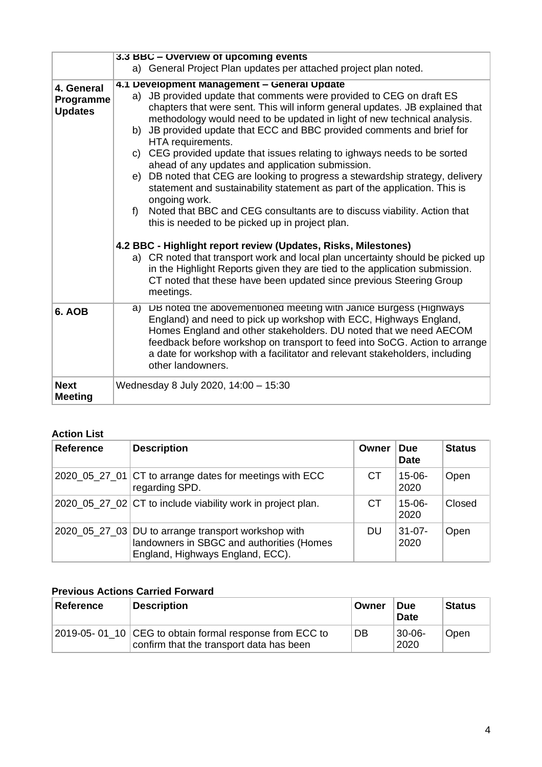|                                           | 3.3 BBC - Overview of upcoming events<br>a) General Project Plan updates per attached project plan noted.                                                                                                                                                                                                                                                                                           |
|-------------------------------------------|-----------------------------------------------------------------------------------------------------------------------------------------------------------------------------------------------------------------------------------------------------------------------------------------------------------------------------------------------------------------------------------------------------|
|                                           |                                                                                                                                                                                                                                                                                                                                                                                                     |
| 4. General<br>Programme<br><b>Updates</b> | 4.1 Development Management - General Update<br>a) JB provided update that comments were provided to CEG on draft ES<br>chapters that were sent. This will inform general updates. JB explained that<br>methodology would need to be updated in light of new technical analysis.<br>b) JB provided update that ECC and BBC provided comments and brief for<br>HTA requirements.                      |
|                                           | c) CEG provided update that issues relating to ighways needs to be sorted<br>ahead of any updates and application submission.                                                                                                                                                                                                                                                                       |
|                                           | e) DB noted that CEG are looking to progress a stewardship strategy, delivery<br>statement and sustainability statement as part of the application. This is<br>ongoing work.                                                                                                                                                                                                                        |
|                                           | Noted that BBC and CEG consultants are to discuss viability. Action that<br>f<br>this is needed to be picked up in project plan.                                                                                                                                                                                                                                                                    |
|                                           | 4.2 BBC - Highlight report review (Updates, Risks, Milestones)                                                                                                                                                                                                                                                                                                                                      |
|                                           | a) CR noted that transport work and local plan uncertainty should be picked up<br>in the Highlight Reports given they are tied to the application submission.<br>CT noted that these have been updated since previous Steering Group<br>meetings.                                                                                                                                                   |
| 6. AOB                                    | DB noted the abovementioned meeting with Janice Burgess (Highways<br>a)<br>England) and need to pick up workshop with ECC, Highways England,<br>Homes England and other stakeholders. DU noted that we need AECOM<br>feedback before workshop on transport to feed into SoCG. Action to arrange<br>a date for workshop with a facilitator and relevant stakeholders, including<br>other landowners. |
| <b>Next</b><br><b>Meeting</b>             | Wednesday 8 July 2020, 14:00 - 15:30                                                                                                                                                                                                                                                                                                                                                                |

## **Action List**

| <b>Reference</b> | <b>Description</b>                                                                                                                   | Owner | <b>Due</b><br><b>Date</b> | <b>Status</b> |
|------------------|--------------------------------------------------------------------------------------------------------------------------------------|-------|---------------------------|---------------|
|                  | 2020_05_27_01 CT to arrange dates for meetings with ECC<br>regarding SPD.                                                            | СT    | $15-06-$<br>2020          | Open          |
|                  | 2020_05_27_02 CT to include viability work in project plan.                                                                          | CТ    | $15-06-$<br>2020          | Closed        |
|                  | 2020_05_27_03 DU to arrange transport workshop with<br>landowners in SBGC and authorities (Homes<br>England, Highways England, ECC). | DU    | $31 - 07 -$<br>2020       | Open          |

## **Previous Actions Carried Forward**

| Reference | <b>Description</b>                                                                                  | Owner | <b>Due</b><br><b>Date</b> | <b>Status</b> |
|-----------|-----------------------------------------------------------------------------------------------------|-------|---------------------------|---------------|
|           | 2019-05-01 10 CEG to obtain formal response from ECC to<br>confirm that the transport data has been | DB    | 30-06-<br>2020            | 'Open         |